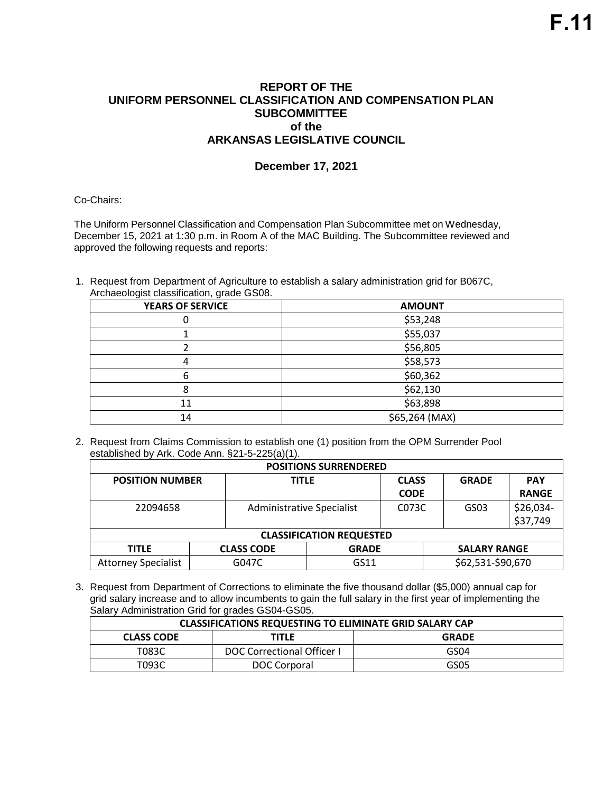## **REPORT OF THE UNIFORM PERSONNEL CLASSIFICATION AND COMPENSATION PLAN SUBCOMMITTEE of the ARKANSAS LEGISLATIVE COUNCIL**

## **December 17, 2021**

Co-Chairs:

The Uniform Personnel Classification and Compensation Plan Subcommittee met on Wednesday, December 15, 2021 at 1:30 p.m. in Room A of the MAC Building. The Subcommittee reviewed and approved the following requests and reports:

1. Request from Department of Agriculture to establish a salary administration grid for B067C, Archaeologist classification, grade GS08.

| <b>YEARS OF SERVICE</b> | <b>AMOUNT</b>  |
|-------------------------|----------------|
|                         | \$53,248       |
|                         | \$55,037       |
|                         | \$56,805       |
|                         | \$58,573       |
|                         | \$60,362       |
|                         | \$62,130       |
| 11                      | \$63,898       |
| 14                      | \$65,264 (MAX) |

2. Request from Claims Commission to establish one (1) position from the OPM Surrender Pool established by Ark. Code Ann. §21-5-225(a)(1).

| <b>POSITIONS SURRENDERED</b>    |  |                           |              |              |  |                     |              |
|---------------------------------|--|---------------------------|--------------|--------------|--|---------------------|--------------|
| <b>POSITION NUMBER</b>          |  | <b>TITLE</b>              |              | <b>CLASS</b> |  | <b>GRADE</b>        | <b>PAY</b>   |
|                                 |  |                           |              | <b>CODE</b>  |  |                     | <b>RANGE</b> |
| 22094658                        |  | Administrative Specialist |              | C073C        |  | GS03                | \$26,034-    |
|                                 |  |                           |              |              |  |                     | \$37,749     |
| <b>CLASSIFICATION REQUESTED</b> |  |                           |              |              |  |                     |              |
| <b>TITLE</b>                    |  | <b>CLASS CODE</b>         | <b>GRADE</b> |              |  | <b>SALARY RANGE</b> |              |
| <b>Attorney Specialist</b>      |  | G047C                     | GS11         |              |  | \$62,531-\$90,670   |              |

3. Request from Department of Corrections to eliminate the five thousand dollar (\$5,000) annual cap for grid salary increase and to allow incumbents to gain the full salary in the first year of implementing the Salary Administration Grid for grades GS04-GS05.

| <b>CLASSIFICATIONS REQUESTING TO ELIMINATE GRID SALARY CAP</b> |                            |      |  |
|----------------------------------------------------------------|----------------------------|------|--|
| <b>GRADE</b><br>TITLE<br><b>CLASS CODE</b>                     |                            |      |  |
| T083C                                                          | DOC Correctional Officer I | GS04 |  |
| T093C                                                          | DOC Corporal               | GS05 |  |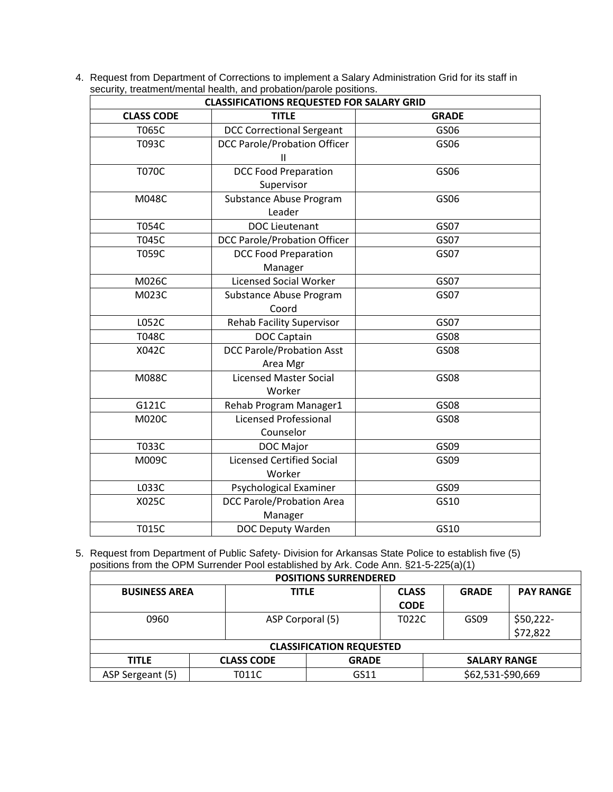4. Request from Department of Corrections to implement a Salary Administration Grid for its staff in security, treatment/mental health, and probation/parole positions.

| <b>CLASSIFICATIONS REQUESTED FOR SALARY GRID</b> |                                          |              |  |  |
|--------------------------------------------------|------------------------------------------|--------------|--|--|
| <b>CLASS CODE</b>                                | <b>TITLE</b>                             | <b>GRADE</b> |  |  |
| T065C                                            | <b>DCC Correctional Sergeant</b>         | GS06         |  |  |
| T093C                                            | <b>DCC Parole/Probation Officer</b>      | GS06         |  |  |
|                                                  | $\mathsf{II}$                            |              |  |  |
| <b>T070C</b>                                     | <b>DCC Food Preparation</b>              | GS06         |  |  |
|                                                  | Supervisor                               |              |  |  |
| M048C                                            | Substance Abuse Program                  | GS06         |  |  |
|                                                  | Leader                                   |              |  |  |
| T054C                                            | <b>DOC Lieutenant</b>                    | GS07         |  |  |
| T045C                                            | <b>DCC Parole/Probation Officer</b>      | GS07         |  |  |
| T059C                                            | <b>DCC Food Preparation</b>              | GS07         |  |  |
|                                                  | Manager                                  |              |  |  |
| M026C                                            | <b>Licensed Social Worker</b>            | GS07         |  |  |
| M023C                                            | Substance Abuse Program                  | GS07         |  |  |
|                                                  | Coord                                    |              |  |  |
| L052C                                            | <b>Rehab Facility Supervisor</b>         | GS07         |  |  |
| <b>T048C</b>                                     | <b>DOC Captain</b>                       | GS08         |  |  |
| X042C                                            | <b>DCC Parole/Probation Asst</b>         | GS08         |  |  |
|                                                  | Area Mgr                                 |              |  |  |
| M088C                                            | <b>Licensed Master Social</b>            | GS08         |  |  |
|                                                  | Worker                                   |              |  |  |
| G121C                                            | Rehab Program Manager1                   | GS08         |  |  |
| M020C                                            | <b>Licensed Professional</b><br>GS08     |              |  |  |
|                                                  | Counselor                                |              |  |  |
| T033C                                            | DOC Major                                | GS09         |  |  |
| M009C                                            | <b>Licensed Certified Social</b><br>GS09 |              |  |  |
|                                                  | Worker                                   |              |  |  |
| L033C                                            | Psychological Examiner                   | GS09         |  |  |
| X025C                                            | <b>DCC Parole/Probation Area</b>         | GS10         |  |  |
|                                                  | Manager                                  |              |  |  |
| <b>T015C</b>                                     | DOC Deputy Warden                        | GS10         |  |  |

5. Request from Department of Public Safety- Division for Arkansas State Police to establish five (5) positions from the OPM Surrender Pool established by Ark. Code Ann. §21-5-225(a)(1)

| <b>POSITIONS SURRENDERED</b>    |  |                   |              |              |  |                     |                  |
|---------------------------------|--|-------------------|--------------|--------------|--|---------------------|------------------|
| <b>BUSINESS AREA</b>            |  | <b>TITLE</b>      |              | <b>CLASS</b> |  | <b>GRADE</b>        | <b>PAY RANGE</b> |
|                                 |  |                   |              | <b>CODE</b>  |  |                     |                  |
| 0960                            |  | ASP Corporal (5)  |              | T022C        |  | GS09                | $$50,222-$       |
|                                 |  |                   |              |              |  |                     | \$72,822         |
| <b>CLASSIFICATION REQUESTED</b> |  |                   |              |              |  |                     |                  |
| <b>TITLE</b>                    |  | <b>CLASS CODE</b> | <b>GRADE</b> |              |  | <b>SALARY RANGE</b> |                  |
| ASP Sergeant (5)                |  | T011C             | GS11         |              |  | \$62,531-\$90,669   |                  |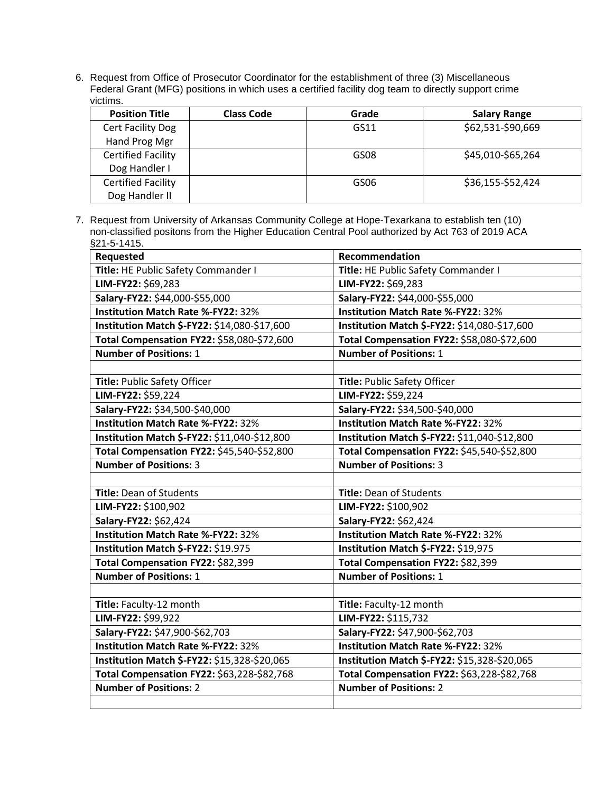6. Request from Office of Prosecutor Coordinator for the establishment of three (3) Miscellaneous Federal Grant (MFG) positions in which uses a certified facility dog team to directly support crime victims.

| <b>Position Title</b>     | <b>Class Code</b> | Grade | <b>Salary Range</b> |
|---------------------------|-------------------|-------|---------------------|
| Cert Facility Dog         |                   | GS11  | \$62,531-\$90,669   |
| Hand Prog Mgr             |                   |       |                     |
| <b>Certified Facility</b> |                   | GS08  | \$45,010-\$65,264   |
| Dog Handler I             |                   |       |                     |
| <b>Certified Facility</b> |                   | GS06  | \$36,155-\$52,424   |
| Dog Handler II            |                   |       |                     |

7. Request from University of Arkansas Community College at Hope-Texarkana to establish ten (10) non-classified positons from the Higher Education Central Pool authorized by Act 763 of 2019 ACA §21-5-1415.

| Requested                                    | Recommendation                               |
|----------------------------------------------|----------------------------------------------|
| Title: HE Public Safety Commander I          | Title: HE Public Safety Commander I          |
| LIM-FY22: \$69,283                           | LIM-FY22: \$69,283                           |
| Salary-FY22: \$44,000-\$55,000               | Salary-FY22: \$44,000-\$55,000               |
| <b>Institution Match Rate %-FY22: 32%</b>    | <b>Institution Match Rate %-FY22: 32%</b>    |
| Institution Match \$-FY22: \$14,080-\$17,600 | Institution Match \$-FY22: \$14,080-\$17,600 |
| Total Compensation FY22: \$58,080-\$72,600   | Total Compensation FY22: \$58,080-\$72,600   |
| <b>Number of Positions: 1</b>                | <b>Number of Positions: 1</b>                |
|                                              |                                              |
| Title: Public Safety Officer                 | Title: Public Safety Officer                 |
| LIM-FY22: \$59,224                           | LIM-FY22: \$59,224                           |
| Salary-FY22: \$34,500-\$40,000               | Salary-FY22: \$34,500-\$40,000               |
| <b>Institution Match Rate %-FY22: 32%</b>    | Institution Match Rate %-FY22: 32%           |
| Institution Match \$-FY22: \$11,040-\$12,800 | Institution Match \$-FY22: \$11,040-\$12,800 |
| Total Compensation FY22: \$45,540-\$52,800   | Total Compensation FY22: \$45,540-\$52,800   |
| <b>Number of Positions: 3</b>                | <b>Number of Positions: 3</b>                |
|                                              |                                              |
| Title: Dean of Students                      | Title: Dean of Students                      |
| LIM-FY22: \$100,902                          | LIM-FY22: \$100,902                          |
| Salary-FY22: \$62,424                        | Salary-FY22: \$62,424                        |
| <b>Institution Match Rate %-FY22: 32%</b>    | <b>Institution Match Rate %-FY22: 32%</b>    |
| Institution Match \$-FY22: \$19.975          | Institution Match \$-FY22: \$19,975          |
| Total Compensation FY22: \$82,399            | Total Compensation FY22: \$82,399            |
| <b>Number of Positions: 1</b>                | <b>Number of Positions: 1</b>                |
|                                              |                                              |
| Title: Faculty-12 month                      | Title: Faculty-12 month                      |
| LIM-FY22: \$99,922                           | LIM-FY22: \$115,732                          |
| Salary-FY22: \$47,900-\$62,703               | Salary-FY22: \$47,900-\$62,703               |
| Institution Match Rate %-FY22: 32%           | Institution Match Rate %-FY22: 32%           |
| Institution Match \$-FY22: \$15,328-\$20,065 | Institution Match \$-FY22: \$15,328-\$20,065 |
| Total Compensation FY22: \$63,228-\$82,768   | Total Compensation FY22: \$63,228-\$82,768   |
| <b>Number of Positions: 2</b>                | <b>Number of Positions: 2</b>                |
|                                              |                                              |